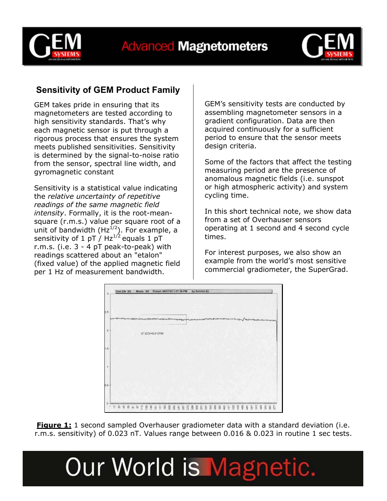



### **Sensitivity of GEM Product Family**

GEM takes pride in ensuring that its magnetometers are tested according to high sensitivity standards. That's why each magnetic sensor is put through a rigorous process that ensures the system meets published sensitivities. Sensitivity is determined by the signal-to-noise ratio from the sensor, spectral line width, and gyromagnetic constant

Sensitivity is a statistical value indicating the *relative uncertainty of repetitive readings of the same magnetic field intensity*. Formally, it is the root-meansquare (r.m.s.) value per square root of a unit of bandwidth ( $Hz^{1/2}$ ). For example, a sensitivity of 1 pT /  $Hz^{1/2}$  equals 1 pT r.m.s. (i.e. 3 - 4 pT peak-to-peak) with readings scattered about an "etalon" (fixed value) of the applied magnetic field per 1 Hz of measurement bandwidth.

GEM's sensitivity tests are conducted by assembling magnetometer sensors in a gradient configuration. Data are then acquired continuously for a sufficient period to ensure that the sensor meets design criteria.

Some of the factors that affect the testing measuring period are the presence of anomalous magnetic fields (i.e. sunspot or high atmospheric activity) and system cycling time.

In this short technical note, we show data from a set of Overhauser sensors operating at 1 second and 4 second cycle times.

For interest purposes, we also show an example from the world's most sensitive commercial gradiometer, the SuperGrad.



**Figure 1:** 1 second sampled Overhauser gradiometer data with a standard deviation (i.e. r.m.s. sensitivity) of 0.023 nT. Values range between 0.016 & 0.023 in routine 1 sec tests.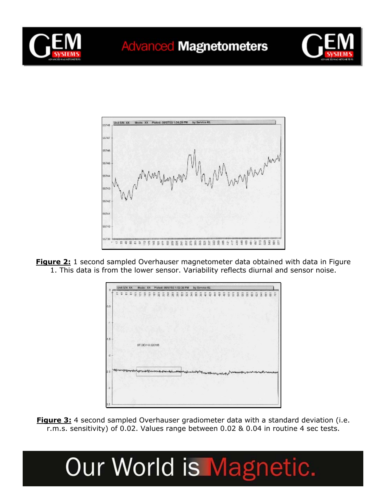





**Figure 2:** 1 second sampled Overhauser magnetometer data obtained with data in Figure 1. This data is from the lower sensor. Variability reflects diurnal and sensor noise.



**Figure 3:** 4 second sampled Overhauser gradiometer data with a standard deviation (i.e. r.m.s. sensitivity) of 0.02. Values range between 0.02 & 0.04 in routine 4 sec tests.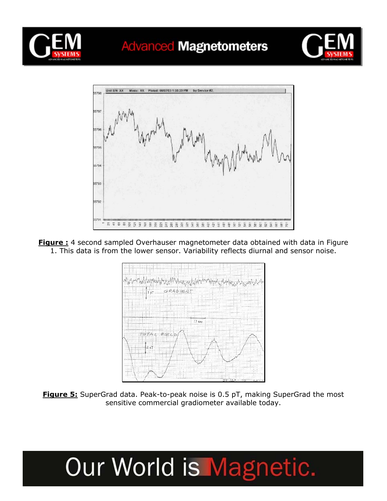

### **Advanced Magnetometers**





**Figure :** 4 second sampled Overhauser magnetometer data obtained with data in Figure 1. This data is from the lower sensor. Variability reflects diurnal and sensor noise.



**Figure 5:** SuperGrad data. Peak-to-peak noise is 0.5 pT, making SuperGrad the most sensitive commercial gradiometer available today.